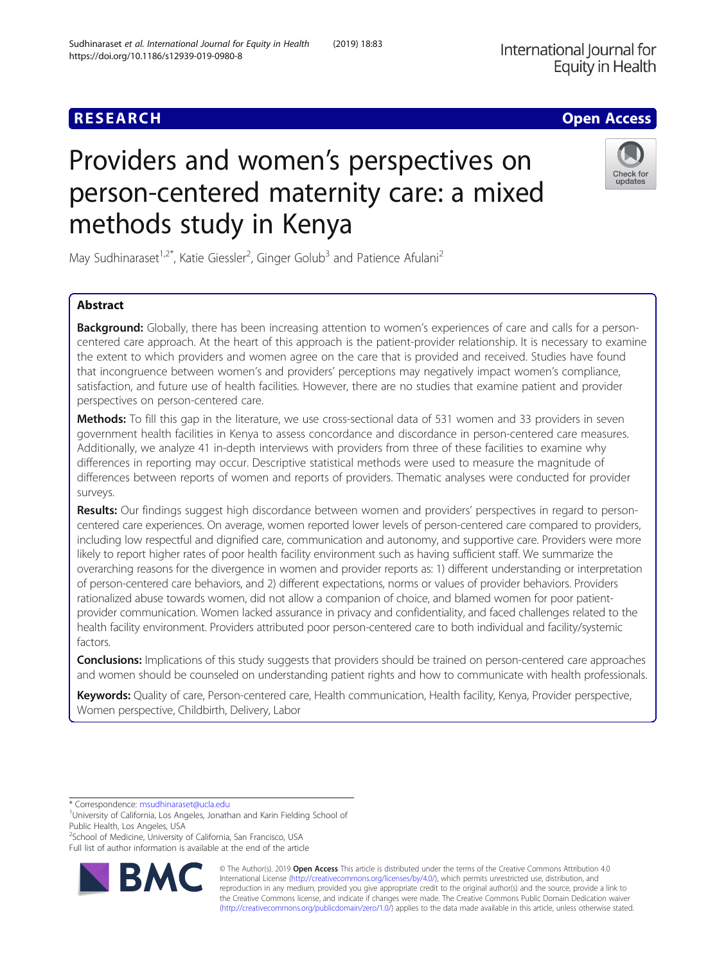# **RESEARCH CHE Open Access**

# Providers and women's perspectives on person-centered maternity care: a mixed methods study in Kenya

May Sudhinaraset<sup>1,2\*</sup>, Katie Giessler<sup>2</sup>, Ginger Golub<sup>3</sup> and Patience Afulani<sup>2</sup>

## Abstract

**Background:** Globally, there has been increasing attention to women's experiences of care and calls for a personcentered care approach. At the heart of this approach is the patient-provider relationship. It is necessary to examine the extent to which providers and women agree on the care that is provided and received. Studies have found that incongruence between women's and providers' perceptions may negatively impact women's compliance, satisfaction, and future use of health facilities. However, there are no studies that examine patient and provider perspectives on person-centered care.

Methods: To fill this gap in the literature, we use cross-sectional data of 531 women and 33 providers in seven government health facilities in Kenya to assess concordance and discordance in person-centered care measures. Additionally, we analyze 41 in-depth interviews with providers from three of these facilities to examine why differences in reporting may occur. Descriptive statistical methods were used to measure the magnitude of differences between reports of women and reports of providers. Thematic analyses were conducted for provider surveys.

Results: Our findings suggest high discordance between women and providers' perspectives in regard to personcentered care experiences. On average, women reported lower levels of person-centered care compared to providers, including low respectful and dignified care, communication and autonomy, and supportive care. Providers were more likely to report higher rates of poor health facility environment such as having sufficient staff. We summarize the overarching reasons for the divergence in women and provider reports as: 1) different understanding or interpretation of person-centered care behaviors, and 2) different expectations, norms or values of provider behaviors. Providers rationalized abuse towards women, did not allow a companion of choice, and blamed women for poor patientprovider communication. Women lacked assurance in privacy and confidentiality, and faced challenges related to the health facility environment. Providers attributed poor person-centered care to both individual and facility/systemic factors.

**Conclusions:** Implications of this study suggests that providers should be trained on person-centered care approaches and women should be counseled on understanding patient rights and how to communicate with health professionals.

Keywords: Quality of care, Person-centered care, Health communication, Health facility, Kenya, Provider perspective, Women perspective, Childbirth, Delivery, Labor

\* Correspondence: [msudhinaraset@ucla.edu](mailto:msudhinaraset@ucla.edu) <sup>1</sup>

**BM** 

<sup>2</sup>School of Medicine, University of California, San Francisco, USA

Full list of author information is available at the end of the article

© The Author(s). 2019 **Open Access** This article is distributed under the terms of the Creative Commons Attribution 4.0 International License [\(http://creativecommons.org/licenses/by/4.0/](http://creativecommons.org/licenses/by/4.0/)), which permits unrestricted use, distribution, and reproduction in any medium, provided you give appropriate credit to the original author(s) and the source, provide a link to the Creative Commons license, and indicate if changes were made. The Creative Commons Public Domain Dedication waiver [\(http://creativecommons.org/publicdomain/zero/1.0/](http://creativecommons.org/publicdomain/zero/1.0/)) applies to the data made available in this article, unless otherwise stated.





<sup>&</sup>lt;sup>1</sup>University of California, Los Angeles, Jonathan and Karin Fielding School of Public Health, Los Angeles, USA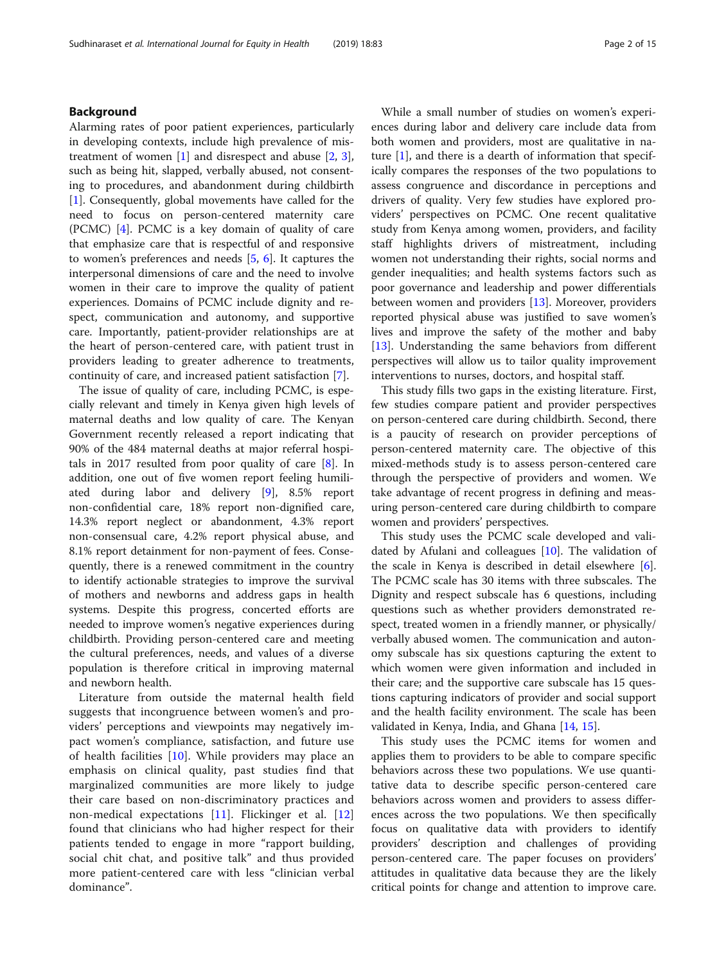## Background

Alarming rates of poor patient experiences, particularly in developing contexts, include high prevalence of mistreatment of women  $[1]$  $[1]$  and disrespect and abuse  $[2, 3]$  $[2, 3]$  $[2, 3]$  $[2, 3]$  $[2, 3]$ , such as being hit, slapped, verbally abused, not consenting to procedures, and abandonment during childbirth [[1\]](#page-14-0). Consequently, global movements have called for the need to focus on person-centered maternity care (PCMC) [[4](#page-14-0)]. PCMC is a key domain of quality of care that emphasize care that is respectful of and responsive to women's preferences and needs [[5,](#page-14-0) [6](#page-14-0)]. It captures the interpersonal dimensions of care and the need to involve women in their care to improve the quality of patient experiences. Domains of PCMC include dignity and respect, communication and autonomy, and supportive care. Importantly, patient-provider relationships are at the heart of person-centered care, with patient trust in providers leading to greater adherence to treatments, continuity of care, and increased patient satisfaction [\[7](#page-14-0)].

The issue of quality of care, including PCMC, is especially relevant and timely in Kenya given high levels of maternal deaths and low quality of care. The Kenyan Government recently released a report indicating that 90% of the 484 maternal deaths at major referral hospitals in 2017 resulted from poor quality of care [[8\]](#page-14-0). In addition, one out of five women report feeling humiliated during labor and delivery [[9\]](#page-14-0), 8.5% report non-confidential care, 18% report non-dignified care, 14.3% report neglect or abandonment, 4.3% report non-consensual care, 4.2% report physical abuse, and 8.1% report detainment for non-payment of fees. Consequently, there is a renewed commitment in the country to identify actionable strategies to improve the survival of mothers and newborns and address gaps in health systems. Despite this progress, concerted efforts are needed to improve women's negative experiences during childbirth. Providing person-centered care and meeting the cultural preferences, needs, and values of a diverse population is therefore critical in improving maternal and newborn health.

Literature from outside the maternal health field suggests that incongruence between women's and providers' perceptions and viewpoints may negatively impact women's compliance, satisfaction, and future use of health facilities [[10\]](#page-14-0). While providers may place an emphasis on clinical quality, past studies find that marginalized communities are more likely to judge their care based on non-discriminatory practices and non-medical expectations [\[11](#page-14-0)]. Flickinger et al. [\[12](#page-14-0)] found that clinicians who had higher respect for their patients tended to engage in more "rapport building, social chit chat, and positive talk" and thus provided more patient-centered care with less "clinician verbal dominance".

While a small number of studies on women's experiences during labor and delivery care include data from both women and providers, most are qualitative in nature  $[1]$  $[1]$ , and there is a dearth of information that specifically compares the responses of the two populations to assess congruence and discordance in perceptions and drivers of quality. Very few studies have explored providers' perspectives on PCMC. One recent qualitative study from Kenya among women, providers, and facility staff highlights drivers of mistreatment, including women not understanding their rights, social norms and gender inequalities; and health systems factors such as poor governance and leadership and power differentials between women and providers [\[13](#page-14-0)]. Moreover, providers reported physical abuse was justified to save women's lives and improve the safety of the mother and baby [[13\]](#page-14-0). Understanding the same behaviors from different perspectives will allow us to tailor quality improvement interventions to nurses, doctors, and hospital staff.

This study fills two gaps in the existing literature. First, few studies compare patient and provider perspectives on person-centered care during childbirth. Second, there is a paucity of research on provider perceptions of person-centered maternity care. The objective of this mixed-methods study is to assess person-centered care through the perspective of providers and women. We take advantage of recent progress in defining and measuring person-centered care during childbirth to compare women and providers' perspectives.

This study uses the PCMC scale developed and validated by Afulani and colleagues [\[10\]](#page-14-0). The validation of the scale in Kenya is described in detail elsewhere [\[6](#page-14-0)]. The PCMC scale has 30 items with three subscales. The Dignity and respect subscale has 6 questions, including questions such as whether providers demonstrated respect, treated women in a friendly manner, or physically/ verbally abused women. The communication and autonomy subscale has six questions capturing the extent to which women were given information and included in their care; and the supportive care subscale has 15 questions capturing indicators of provider and social support and the health facility environment. The scale has been validated in Kenya, India, and Ghana [\[14](#page-14-0), [15](#page-14-0)].

This study uses the PCMC items for women and applies them to providers to be able to compare specific behaviors across these two populations. We use quantitative data to describe specific person-centered care behaviors across women and providers to assess differences across the two populations. We then specifically focus on qualitative data with providers to identify providers' description and challenges of providing person-centered care. The paper focuses on providers' attitudes in qualitative data because they are the likely critical points for change and attention to improve care.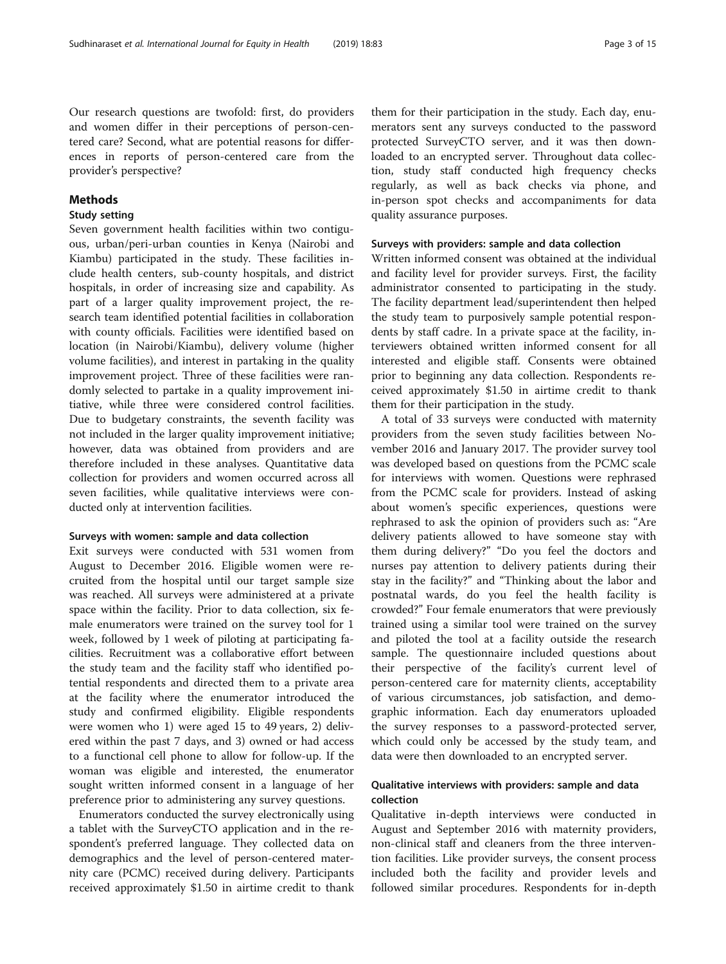Our research questions are twofold: first, do providers and women differ in their perceptions of person-centered care? Second, what are potential reasons for differences in reports of person-centered care from the provider's perspective?

## Methods

### Study setting

Seven government health facilities within two contiguous, urban/peri-urban counties in Kenya (Nairobi and Kiambu) participated in the study. These facilities include health centers, sub-county hospitals, and district hospitals, in order of increasing size and capability. As part of a larger quality improvement project, the research team identified potential facilities in collaboration with county officials. Facilities were identified based on location (in Nairobi/Kiambu), delivery volume (higher volume facilities), and interest in partaking in the quality improvement project. Three of these facilities were randomly selected to partake in a quality improvement initiative, while three were considered control facilities. Due to budgetary constraints, the seventh facility was not included in the larger quality improvement initiative; however, data was obtained from providers and are therefore included in these analyses. Quantitative data collection for providers and women occurred across all seven facilities, while qualitative interviews were conducted only at intervention facilities.

## Surveys with women: sample and data collection

Exit surveys were conducted with 531 women from August to December 2016. Eligible women were recruited from the hospital until our target sample size was reached. All surveys were administered at a private space within the facility. Prior to data collection, six female enumerators were trained on the survey tool for 1 week, followed by 1 week of piloting at participating facilities. Recruitment was a collaborative effort between the study team and the facility staff who identified potential respondents and directed them to a private area at the facility where the enumerator introduced the study and confirmed eligibility. Eligible respondents were women who 1) were aged 15 to 49 years, 2) delivered within the past 7 days, and 3) owned or had access to a functional cell phone to allow for follow-up. If the woman was eligible and interested, the enumerator sought written informed consent in a language of her preference prior to administering any survey questions.

Enumerators conducted the survey electronically using a tablet with the SurveyCTO application and in the respondent's preferred language. They collected data on demographics and the level of person-centered maternity care (PCMC) received during delivery. Participants received approximately \$1.50 in airtime credit to thank

them for their participation in the study. Each day, enumerators sent any surveys conducted to the password protected SurveyCTO server, and it was then downloaded to an encrypted server. Throughout data collection, study staff conducted high frequency checks regularly, as well as back checks via phone, and in-person spot checks and accompaniments for data quality assurance purposes.

## Surveys with providers: sample and data collection

Written informed consent was obtained at the individual and facility level for provider surveys. First, the facility administrator consented to participating in the study. The facility department lead/superintendent then helped the study team to purposively sample potential respondents by staff cadre. In a private space at the facility, interviewers obtained written informed consent for all interested and eligible staff. Consents were obtained prior to beginning any data collection. Respondents received approximately \$1.50 in airtime credit to thank them for their participation in the study.

A total of 33 surveys were conducted with maternity providers from the seven study facilities between November 2016 and January 2017. The provider survey tool was developed based on questions from the PCMC scale for interviews with women. Questions were rephrased from the PCMC scale for providers. Instead of asking about women's specific experiences, questions were rephrased to ask the opinion of providers such as: "Are delivery patients allowed to have someone stay with them during delivery?" "Do you feel the doctors and nurses pay attention to delivery patients during their stay in the facility?" and "Thinking about the labor and postnatal wards, do you feel the health facility is crowded?" Four female enumerators that were previously trained using a similar tool were trained on the survey and piloted the tool at a facility outside the research sample. The questionnaire included questions about their perspective of the facility's current level of person-centered care for maternity clients, acceptability of various circumstances, job satisfaction, and demographic information. Each day enumerators uploaded the survey responses to a password-protected server, which could only be accessed by the study team, and data were then downloaded to an encrypted server.

## Qualitative interviews with providers: sample and data collection

Qualitative in-depth interviews were conducted in August and September 2016 with maternity providers, non-clinical staff and cleaners from the three intervention facilities. Like provider surveys, the consent process included both the facility and provider levels and followed similar procedures. Respondents for in-depth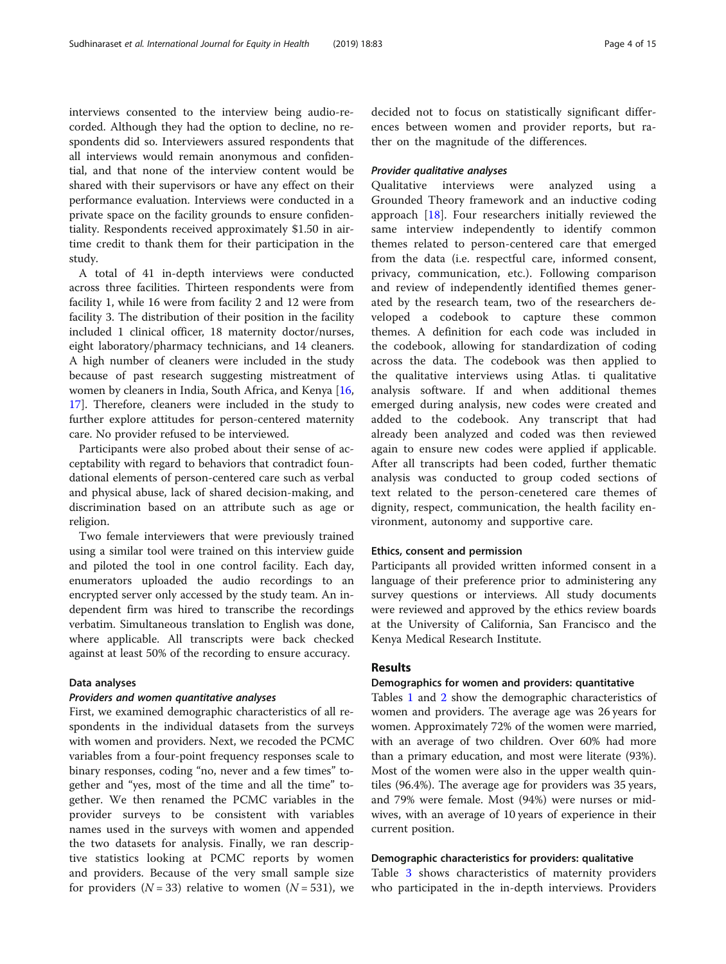interviews consented to the interview being audio-recorded. Although they had the option to decline, no respondents did so. Interviewers assured respondents that all interviews would remain anonymous and confidential, and that none of the interview content would be shared with their supervisors or have any effect on their performance evaluation. Interviews were conducted in a private space on the facility grounds to ensure confidentiality. Respondents received approximately \$1.50 in airtime credit to thank them for their participation in the study.

A total of 41 in-depth interviews were conducted across three facilities. Thirteen respondents were from facility 1, while 16 were from facility 2 and 12 were from facility 3. The distribution of their position in the facility included 1 clinical officer, 18 maternity doctor/nurses, eight laboratory/pharmacy technicians, and 14 cleaners. A high number of cleaners were included in the study because of past research suggesting mistreatment of women by cleaners in India, South Africa, and Kenya [[16](#page-14-0), [17\]](#page-14-0). Therefore, cleaners were included in the study to further explore attitudes for person-centered maternity care. No provider refused to be interviewed.

Participants were also probed about their sense of acceptability with regard to behaviors that contradict foundational elements of person-centered care such as verbal and physical abuse, lack of shared decision-making, and discrimination based on an attribute such as age or religion.

Two female interviewers that were previously trained using a similar tool were trained on this interview guide and piloted the tool in one control facility. Each day, enumerators uploaded the audio recordings to an encrypted server only accessed by the study team. An independent firm was hired to transcribe the recordings verbatim. Simultaneous translation to English was done, where applicable. All transcripts were back checked against at least 50% of the recording to ensure accuracy.

## Data analyses

## Providers and women quantitative analyses

First, we examined demographic characteristics of all respondents in the individual datasets from the surveys with women and providers. Next, we recoded the PCMC variables from a four-point frequency responses scale to binary responses, coding "no, never and a few times" together and "yes, most of the time and all the time" together. We then renamed the PCMC variables in the provider surveys to be consistent with variables names used in the surveys with women and appended the two datasets for analysis. Finally, we ran descriptive statistics looking at PCMC reports by women and providers. Because of the very small sample size for providers ( $N = 33$ ) relative to women ( $N = 531$ ), we decided not to focus on statistically significant differences between women and provider reports, but rather on the magnitude of the differences.

## Provider qualitative analyses

Qualitative interviews were analyzed using a Grounded Theory framework and an inductive coding approach [\[18](#page-14-0)]. Four researchers initially reviewed the same interview independently to identify common themes related to person-centered care that emerged from the data (i.e. respectful care, informed consent, privacy, communication, etc.). Following comparison and review of independently identified themes generated by the research team, two of the researchers developed a codebook to capture these common themes. A definition for each code was included in the codebook, allowing for standardization of coding across the data. The codebook was then applied to the qualitative interviews using Atlas. ti qualitative analysis software. If and when additional themes emerged during analysis, new codes were created and added to the codebook. Any transcript that had already been analyzed and coded was then reviewed again to ensure new codes were applied if applicable. After all transcripts had been coded, further thematic analysis was conducted to group coded sections of text related to the person-cenetered care themes of dignity, respect, communication, the health facility environment, autonomy and supportive care.

#### Ethics, consent and permission

Participants all provided written informed consent in a language of their preference prior to administering any survey questions or interviews. All study documents were reviewed and approved by the ethics review boards at the University of California, San Francisco and the Kenya Medical Research Institute.

### Results

### Demographics for women and providers: quantitative

Tables [1](#page-4-0) and [2](#page-4-0) show the demographic characteristics of women and providers. The average age was 26 years for women. Approximately 72% of the women were married, with an average of two children. Over 60% had more than a primary education, and most were literate (93%). Most of the women were also in the upper wealth quintiles (96.4%). The average age for providers was 35 years, and 79% were female. Most (94%) were nurses or midwives, with an average of 10 years of experience in their current position.

#### Demographic characteristics for providers: qualitative

Table [3](#page-5-0) shows characteristics of maternity providers who participated in the in-depth interviews. Providers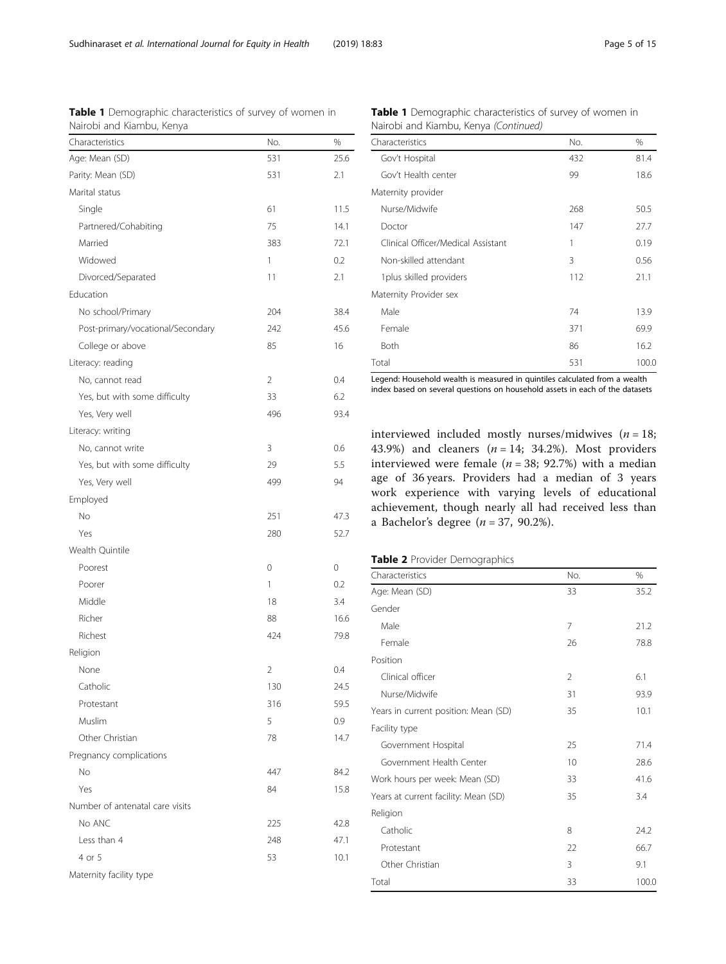Total 531 100.0 Legend: Household wealth is measured in quintiles calculated from a wealth index based on several questions on household assets in each of the datasets

Male 24 23.9 Female 69.9 Both 86 16.2

Table 1 Demographic characteristics of survey of women in

Characteristics Mo. 2008 Gov't Hospital 432 81.4 Gov't Health center 18.6

Nurse/Midwife 268 50.5 Doctor 27.7 Clinical Officer/Medical Assistant 1 0.19 Non-skilled attendant 3 0.56 1 plus skilled providers 112 112 21.1

Nairobi and Kiambu, Kenya (Continued)

Maternity provider

Maternity Provider sex

interviewed included mostly nurses/midwives  $(n = 18)$ ; 43.9%) and cleaners  $(n = 14; 34.2%)$ . Most providers interviewed were female ( $n = 38$ ; 92.7%) with a median age of 36 years. Providers had a median of 3 years work experience with varying levels of educational achievement, though nearly all had received less than a Bachelor's degree  $(n = 37, 90.2\%).$ 

|  |  |  | Table 2 Provider Demographics |
|--|--|--|-------------------------------|
|--|--|--|-------------------------------|

| Characteristics                      | No.            | %     |  |
|--------------------------------------|----------------|-------|--|
| Age: Mean (SD)                       | 33             | 35.2  |  |
| Gender                               |                |       |  |
| Male                                 | 7              | 21.2  |  |
| Female                               | 26             | 78.8  |  |
| Position                             |                |       |  |
| Clinical officer                     | $\mathfrak{D}$ | 6.1   |  |
| Nurse/Midwife                        | 31             | 93.9  |  |
| Years in current position: Mean (SD) | 35             | 10.1  |  |
| Facility type                        |                |       |  |
| Government Hospital                  | 25             | 71.4  |  |
| Government Health Center             | 10             | 28.6  |  |
| Work hours per week: Mean (SD)       | 33             | 41.6  |  |
| Years at current facility: Mean (SD) | 35             | 3.4   |  |
| Religion                             |                |       |  |
| Catholic                             | 8              | 24.2  |  |
| Protestant                           | 22             | 66.7  |  |
| Other Christian                      | 3              | 9.1   |  |
| Total                                | 33             | 100.0 |  |

<span id="page-4-0"></span>

| Characteristics                   | No. | %    |
|-----------------------------------|-----|------|
| Age: Mean (SD)                    | 531 | 25.6 |
| Parity: Mean (SD)                 | 531 | 2.1  |
| Marital status                    |     |      |
| Single                            | 61  | 11.5 |
| Partnered/Cohabiting              | 75  | 14.1 |
| Married                           | 383 | 72.1 |
| Widowed                           | 1   | 0.2  |
| Divorced/Separated                | 11  | 2.1  |
| Education                         |     |      |
| No school/Primary                 | 204 | 38.4 |
| Post-primary/vocational/Secondary | 242 | 45.6 |
| College or above                  | 85  | 16   |
| Literacy: reading                 |     |      |
| No, cannot read                   | 2   | 0.4  |
| Yes, but with some difficulty     | 33  | 6.2  |
| Yes, Very well                    | 496 | 93.4 |
| Literacy: writing                 |     |      |
| No, cannot write                  | 3   | 0.6  |
| Yes, but with some difficulty     | 29  | 5.5  |
| Yes, Very well                    | 499 | 94   |
| Employed                          |     |      |
| No                                | 251 | 47.3 |
| Yes                               | 280 | 52.7 |
| Wealth Quintile                   |     |      |
| Poorest                           | 0   | 0    |
| Poorer                            | 1   | 0.2  |
| Middle                            | 18  | 3.4  |
| Richer                            | 88  | 16.6 |
| Richest                           | 424 | 79.8 |
| Religion                          |     |      |
| None                              | 2   | 0.4  |
| Catholic                          | 130 | 24.5 |
| Protestant                        | 316 | 59.5 |
| Muslim                            | 5   | 0.9  |
| Other Christian                   | 78  | 14.7 |
| Pregnancy complications           |     |      |
| No                                | 447 | 84.2 |
|                                   |     |      |

Yes 2012 2013 2022 2023 2024 2022 2023 2024 2022 2023 2024 2022 2023 2024 2022 2023 2024 2022 2023 2024 2022 20

No ANC 225 42.8 Less than 4 248 248 47.1 4 or 5 10.1

Number of antenatal care visits

Maternity facility type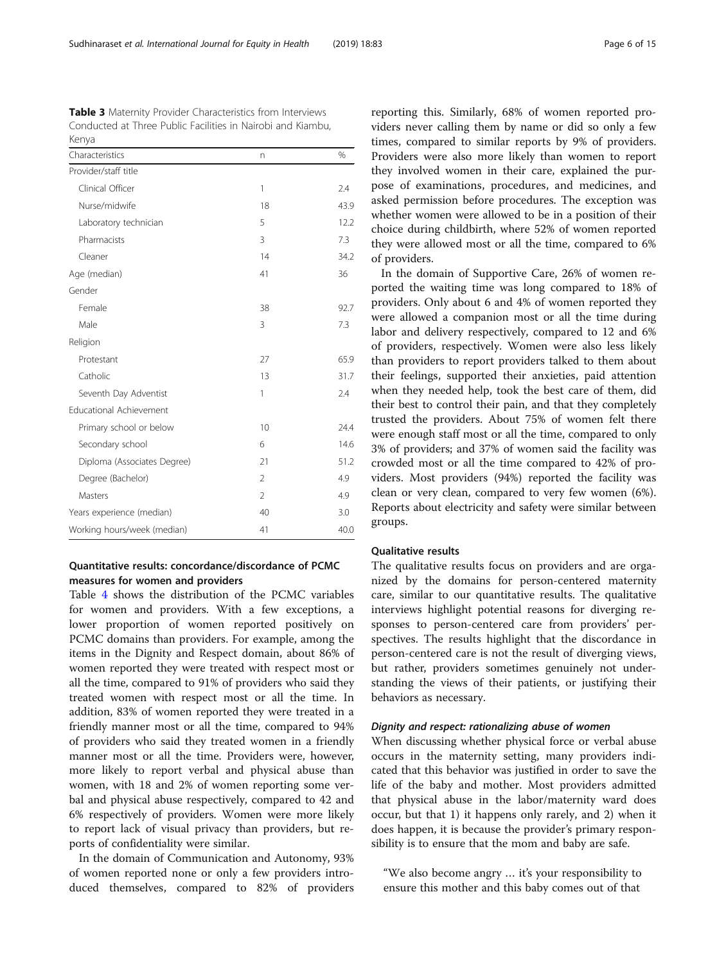<span id="page-5-0"></span>Table 3 Maternity Provider Characteristics from Interviews Conducted at Three Public Facilities in Nairobi and Kiambu, Kenya

| Characteristics                | n              | $\frac{0}{0}$ |
|--------------------------------|----------------|---------------|
| Provider/staff title           |                |               |
| Clinical Officer               | 1              | 2.4           |
| Nurse/midwife                  | 18             | 43.9          |
| Laboratory technician          | 5              | 12.2          |
| Pharmacists                    | 3              | 7.3           |
| Cleaner                        | 14             | 34.2          |
| Age (median)                   | 41             | 36            |
| Gender                         |                |               |
| Female                         | 38             | 92.7          |
| Male                           | 3              | 7.3           |
| Religion                       |                |               |
| Protestant                     | 27             | 65.9          |
| Catholic                       | 13             | 31.7          |
| Seventh Day Adventist          | 1              | 2.4           |
| <b>Educational Achievement</b> |                |               |
| Primary school or below        | 10             | 24.4          |
| Secondary school               | 6              | 14.6          |
| Diploma (Associates Degree)    | 21             | 51.2          |
| Degree (Bachelor)              | $\overline{2}$ | 4.9           |
| Masters                        | $\overline{2}$ | 4.9           |
| Years experience (median)      | 40             | 3.0           |
| Working hours/week (median)    | 41             | 40.0          |

## Quantitative results: concordance/discordance of PCMC measures for women and providers

Table [4](#page-6-0) shows the distribution of the PCMC variables for women and providers. With a few exceptions, a lower proportion of women reported positively on PCMC domains than providers. For example, among the items in the Dignity and Respect domain, about 86% of women reported they were treated with respect most or all the time, compared to 91% of providers who said they treated women with respect most or all the time. In addition, 83% of women reported they were treated in a friendly manner most or all the time, compared to 94% of providers who said they treated women in a friendly manner most or all the time. Providers were, however, more likely to report verbal and physical abuse than women, with 18 and 2% of women reporting some verbal and physical abuse respectively, compared to 42 and 6% respectively of providers. Women were more likely to report lack of visual privacy than providers, but reports of confidentiality were similar.

In the domain of Communication and Autonomy, 93% of women reported none or only a few providers introduced themselves, compared to 82% of providers

reporting this. Similarly, 68% of women reported providers never calling them by name or did so only a few times, compared to similar reports by 9% of providers. Providers were also more likely than women to report they involved women in their care, explained the purpose of examinations, procedures, and medicines, and asked permission before procedures. The exception was whether women were allowed to be in a position of their choice during childbirth, where 52% of women reported they were allowed most or all the time, compared to 6% of providers.

In the domain of Supportive Care, 26% of women reported the waiting time was long compared to 18% of providers. Only about 6 and 4% of women reported they were allowed a companion most or all the time during labor and delivery respectively, compared to 12 and 6% of providers, respectively. Women were also less likely than providers to report providers talked to them about their feelings, supported their anxieties, paid attention when they needed help, took the best care of them, did their best to control their pain, and that they completely trusted the providers. About 75% of women felt there were enough staff most or all the time, compared to only 3% of providers; and 37% of women said the facility was crowded most or all the time compared to 42% of providers. Most providers (94%) reported the facility was clean or very clean, compared to very few women (6%). Reports about electricity and safety were similar between groups.

## Qualitative results

The qualitative results focus on providers and are organized by the domains for person-centered maternity care, similar to our quantitative results. The qualitative interviews highlight potential reasons for diverging responses to person-centered care from providers' perspectives. The results highlight that the discordance in person-centered care is not the result of diverging views, but rather, providers sometimes genuinely not understanding the views of their patients, or justifying their behaviors as necessary.

#### Dignity and respect: rationalizing abuse of women

When discussing whether physical force or verbal abuse occurs in the maternity setting, many providers indicated that this behavior was justified in order to save the life of the baby and mother. Most providers admitted that physical abuse in the labor/maternity ward does occur, but that 1) it happens only rarely, and 2) when it does happen, it is because the provider's primary responsibility is to ensure that the mom and baby are safe.

"We also become angry … it's your responsibility to ensure this mother and this baby comes out of that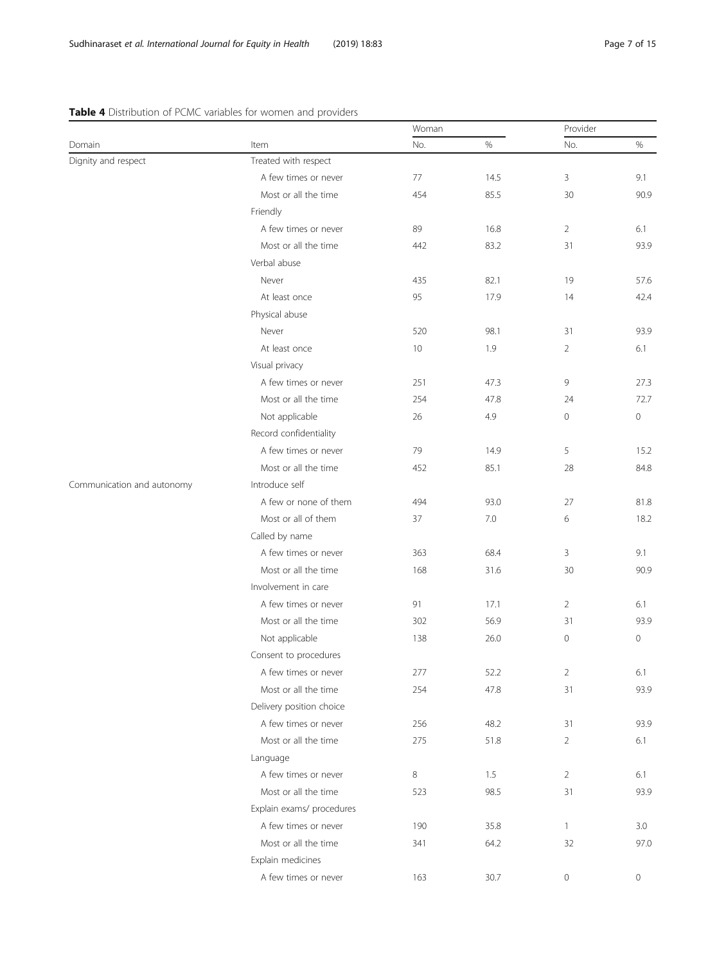## <span id="page-6-0"></span>Table 4 Distribution of PCMC variables for women and providers

|                            | Item                      | Woman |         | Provider            |                     |
|----------------------------|---------------------------|-------|---------|---------------------|---------------------|
| Domain                     |                           | No.   | $\%$    | No.                 | $\%$                |
| Dignity and respect        | Treated with respect      |       |         |                     |                     |
|                            | A few times or never      | 77    | 14.5    | 3                   | 9.1                 |
|                            | Most or all the time      | 454   | 85.5    | 30                  | 90.9                |
|                            | Friendly                  |       |         |                     |                     |
|                            | A few times or never      | 89    | 16.8    | $\overline{2}$      | 6.1                 |
|                            | Most or all the time      | 442   | 83.2    | 31                  | 93.9                |
|                            | Verbal abuse              |       |         |                     |                     |
|                            | Never                     | 435   | 82.1    | 19                  | 57.6                |
|                            | At least once             | 95    | 17.9    | 14                  | 42.4                |
|                            | Physical abuse            |       |         |                     |                     |
|                            | Never                     | 520   | 98.1    | 31                  | 93.9                |
|                            | At least once             | 10    | 1.9     | $\overline{2}$      | 6.1                 |
|                            | Visual privacy            |       |         |                     |                     |
|                            | A few times or never      | 251   | 47.3    | 9                   | 27.3                |
|                            | Most or all the time      | 254   | 47.8    | 24                  | 72.7                |
|                            | Not applicable            | 26    | 4.9     | $\mathbf 0$         | $\mathbf 0$         |
|                            | Record confidentiality    |       |         |                     |                     |
|                            | A few times or never      | 79    | 14.9    | 5                   | 15.2                |
|                            | Most or all the time      | 452   | 85.1    | 28                  | 84.8                |
| Communication and autonomy | Introduce self            |       |         |                     |                     |
|                            | A few or none of them     | 494   | 93.0    | 27                  | 81.8                |
|                            | Most or all of them       | 37    | $7.0\,$ | 6                   | 18.2                |
|                            | Called by name            |       |         |                     |                     |
|                            | A few times or never      | 363   | 68.4    | 3                   | 9.1                 |
|                            | Most or all the time      | 168   | 31.6    | 30                  | 90.9                |
|                            | Involvement in care       |       |         |                     |                     |
|                            | A few times or never      | 91    | 17.1    | $\overline{2}$      | 6.1                 |
|                            | Most or all the time      | 302   | 56.9    | 31                  | 93.9                |
|                            | Not applicable            | 138   | 26.0    | $\mathsf{O}\xspace$ | $\mathsf{O}\xspace$ |
|                            | Consent to procedures     |       |         |                     |                     |
|                            | A few times or never      | 277   | 52.2    | $\overline{2}$      | 6.1                 |
|                            | Most or all the time      | 254   | 47.8    | 31                  | 93.9                |
|                            | Delivery position choice  |       |         |                     |                     |
|                            | A few times or never      | 256   | 48.2    | 31                  | 93.9                |
|                            | Most or all the time      | 275   | 51.8    | $\overline{2}$      | 6.1                 |
|                            | Language                  |       |         |                     |                     |
|                            | A few times or never      | 8     | 1.5     | $\overline{2}$      | 6.1                 |
|                            | Most or all the time      | 523   | 98.5    | 31                  | 93.9                |
|                            | Explain exams/ procedures |       |         |                     |                     |
|                            | A few times or never      | 190   | 35.8    | 1                   | 3.0                 |
|                            | Most or all the time      | 341   | 64.2    | 32                  | 97.0                |
|                            | Explain medicines         |       |         |                     |                     |
|                            | A few times or never      | 163   | 30.7    | $\circ$             | 0                   |
|                            |                           |       |         |                     |                     |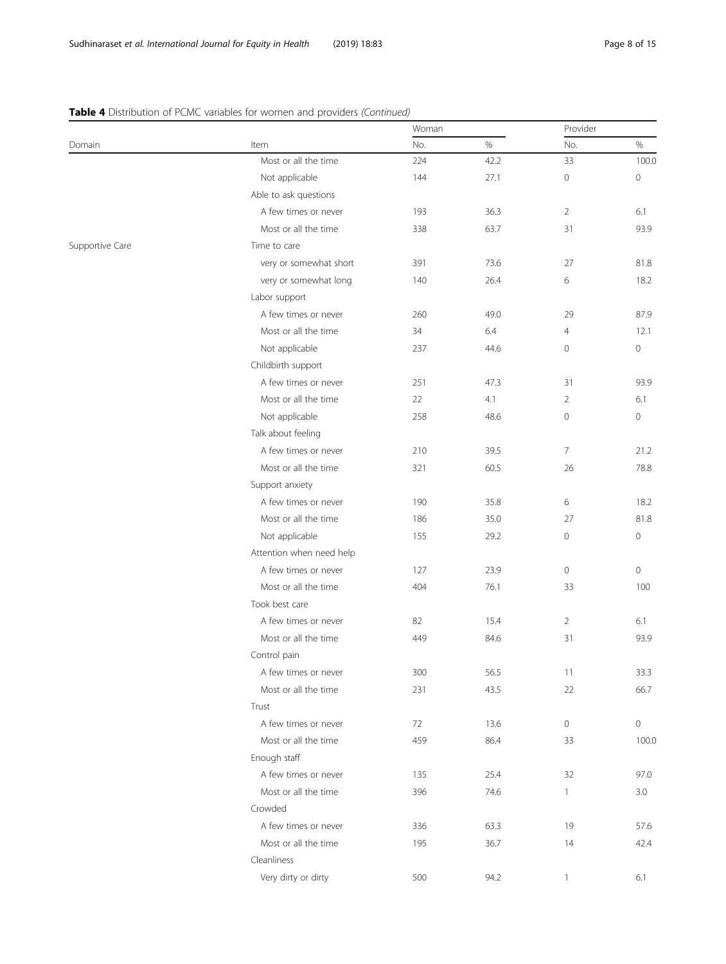## Woman Provider Domain Item No. % No. % Most or all the time 224 42.2 33 100.0 Not applicable 144 27.1 0 0 0 Able to ask questions A few times or never 193 36.3 2 6.1 Most or all the time 338 63.7 31 93.9 Supportive Care Time to care very or somewhat short and 391 and 27 81.8 and 391 and 27 and 27 and 27 and 27 and 21.8 very or somewhat long  $140$  and  $26.4$  and  $6$  18.2 Labor support A few times or never **260** 29 29 87.9 Most or all the time  $34$  6.4  $4$  12.1 Not applicable 237 44.6 0 0

## Table 4 Distribution of PCMC variables for women and providers (Continued)

| very or somewhat short   | 391 | /3.6 | 2/             | 81.8                |
|--------------------------|-----|------|----------------|---------------------|
| very or somewhat long    | 140 | 26.4 | 6              | 18.2                |
| Labor support            |     |      |                |                     |
| A few times or never     | 260 | 49.0 | 29             | 87.9                |
| Most or all the time     | 34  | 6.4  | $\overline{4}$ | 12.1                |
| Not applicable           | 237 | 44.6 | 0              | $\mathsf{O}\xspace$ |
| Childbirth support       |     |      |                |                     |
| A few times or never     | 251 | 47.3 | 31             | 93.9                |
| Most or all the time     | 22  | 4.1  | $\overline{2}$ | 6.1                 |
| Not applicable           | 258 | 48.6 | $\overline{0}$ | $\mathsf{O}\xspace$ |
| Talk about feeling       |     |      |                |                     |
| A few times or never     | 210 | 39.5 | $\overline{7}$ | 21.2                |
| Most or all the time     | 321 | 60.5 | 26             | 78.8                |
| Support anxiety          |     |      |                |                     |
| A few times or never     | 190 | 35.8 | 6              | 18.2                |
| Most or all the time     | 186 | 35.0 | 27             | 81.8                |
| Not applicable           | 155 | 29.2 | 0              | $\circ$             |
| Attention when need help |     |      |                |                     |
| A few times or never     | 127 | 23.9 | $\circ$        | $\circ$             |
| Most or all the time     | 404 | 76.1 | 33             | 100                 |
| Took best care           |     |      |                |                     |
| A few times or never     | 82  | 15.4 | $\overline{2}$ | 6.1                 |
| Most or all the time     | 449 | 84.6 | 31             | 93.9                |
| Control pain             |     |      |                |                     |
| A few times or never     | 300 | 56.5 | 11             | 33.3                |
| Most or all the time     | 231 | 43.5 | 22             | 66.7                |
| Trust                    |     |      |                |                     |
| A few times or never     | 72  | 13.6 | $\circ$        | $\mathsf{O}\xspace$ |
| Most or all the time     | 459 | 86.4 | 33             | 100.0               |
| Enough staff             |     |      |                |                     |
| A few times or never     | 135 | 25.4 | 32             | 97.0                |
| Most or all the time     | 396 | 74.6 | $\mathbf{1}$   | 3.0                 |
| Crowded                  |     |      |                |                     |
| A few times or never     | 336 | 63.3 | 19             | 57.6                |
| Most or all the time     | 195 | 36.7 | 14             | 42.4                |
| Cleanliness              |     |      |                |                     |
| Very dirty or dirty      | 500 | 94.2 | $\mathbf{1}$   | 6.1                 |
|                          |     |      |                |                     |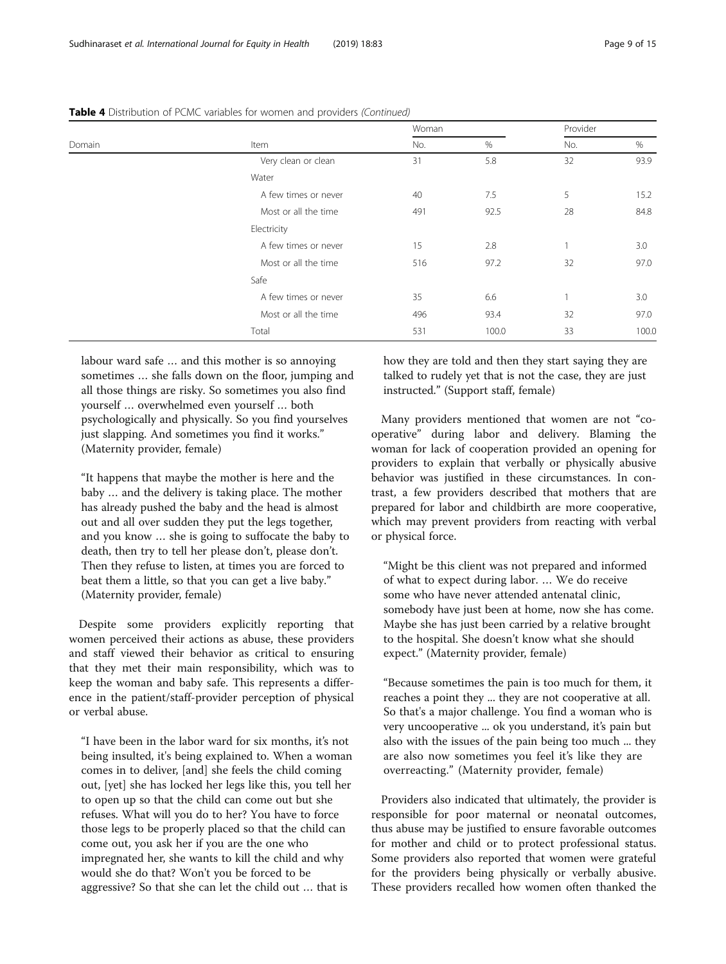| Domain |                      | Woman |       | Provider |       |
|--------|----------------------|-------|-------|----------|-------|
|        | Item                 | No.   | %     | No.      | %     |
|        | Very clean or clean  | 31    | 5.8   | 32       | 93.9  |
|        | Water                |       |       |          |       |
|        | A few times or never | 40    | 7.5   | 5        | 15.2  |
|        | Most or all the time | 491   | 92.5  | 28       | 84.8  |
|        | Electricity          |       |       |          |       |
|        | A few times or never | 15    | 2.8   |          | 3.0   |
|        | Most or all the time | 516   | 97.2  | 32       | 97.0  |
|        | Safe                 |       |       |          |       |
|        | A few times or never | 35    | 6.6   |          | 3.0   |
|        | Most or all the time | 496   | 93.4  | 32       | 97.0  |
|        | Total                | 531   | 100.0 | 33       | 100.0 |

Table 4 Distribution of PCMC variables for women and providers (Continued)

labour ward safe … and this mother is so annoying sometimes … she falls down on the floor, jumping and all those things are risky. So sometimes you also find yourself … overwhelmed even yourself … both psychologically and physically. So you find yourselves just slapping. And sometimes you find it works." (Maternity provider, female)

"It happens that maybe the mother is here and the baby … and the delivery is taking place. The mother has already pushed the baby and the head is almost out and all over sudden they put the legs together, and you know … she is going to suffocate the baby to death, then try to tell her please don't, please don't. Then they refuse to listen, at times you are forced to beat them a little, so that you can get a live baby." (Maternity provider, female)

Despite some providers explicitly reporting that women perceived their actions as abuse, these providers and staff viewed their behavior as critical to ensuring that they met their main responsibility, which was to keep the woman and baby safe. This represents a difference in the patient/staff-provider perception of physical or verbal abuse.

"I have been in the labor ward for six months, it's not being insulted, it's being explained to. When a woman comes in to deliver, [and] she feels the child coming out, [yet] she has locked her legs like this, you tell her to open up so that the child can come out but she refuses. What will you do to her? You have to force those legs to be properly placed so that the child can come out, you ask her if you are the one who impregnated her, she wants to kill the child and why would she do that? Won't you be forced to be aggressive? So that she can let the child out … that is

how they are told and then they start saying they are talked to rudely yet that is not the case, they are just instructed." (Support staff, female)

Many providers mentioned that women are not "cooperative" during labor and delivery. Blaming the woman for lack of cooperation provided an opening for providers to explain that verbally or physically abusive behavior was justified in these circumstances. In contrast, a few providers described that mothers that are prepared for labor and childbirth are more cooperative, which may prevent providers from reacting with verbal or physical force.

"Might be this client was not prepared and informed of what to expect during labor. … We do receive some who have never attended antenatal clinic, somebody have just been at home, now she has come. Maybe she has just been carried by a relative brought to the hospital. She doesn't know what she should expect." (Maternity provider, female)

"Because sometimes the pain is too much for them, it reaches a point they ... they are not cooperative at all. So that's a major challenge. You find a woman who is very uncooperative ... ok you understand, it's pain but also with the issues of the pain being too much ... they are also now sometimes you feel it's like they are overreacting." (Maternity provider, female)

Providers also indicated that ultimately, the provider is responsible for poor maternal or neonatal outcomes, thus abuse may be justified to ensure favorable outcomes for mother and child or to protect professional status. Some providers also reported that women were grateful for the providers being physically or verbally abusive. These providers recalled how women often thanked the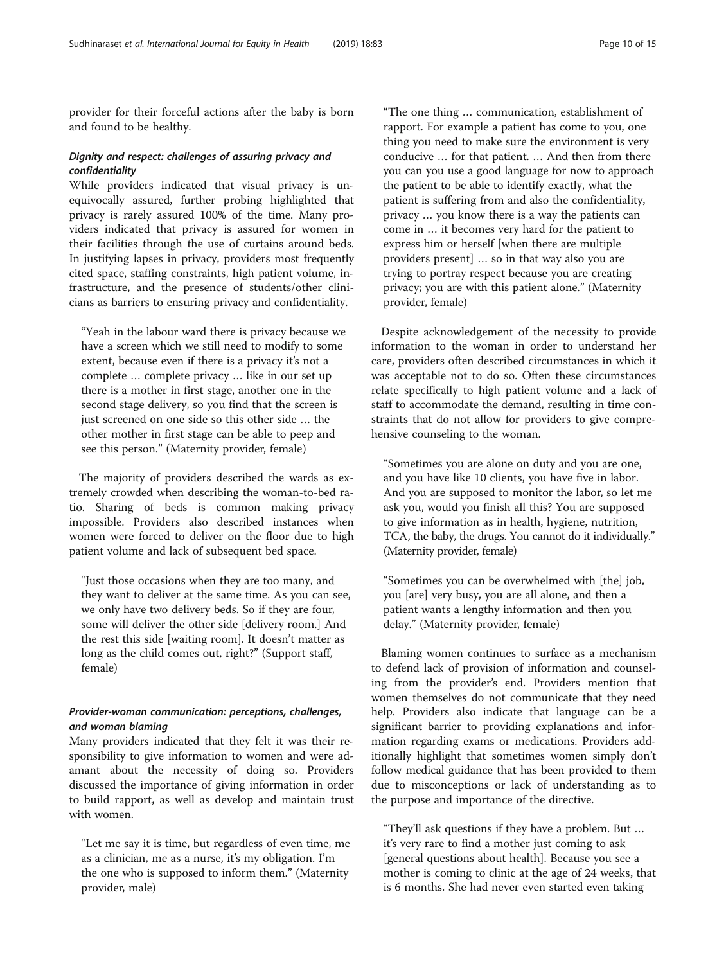provider for their forceful actions after the baby is born and found to be healthy.

## Dignity and respect: challenges of assuring privacy and confidentiality

While providers indicated that visual privacy is unequivocally assured, further probing highlighted that privacy is rarely assured 100% of the time. Many providers indicated that privacy is assured for women in their facilities through the use of curtains around beds. In justifying lapses in privacy, providers most frequently cited space, staffing constraints, high patient volume, infrastructure, and the presence of students/other clinicians as barriers to ensuring privacy and confidentiality.

"Yeah in the labour ward there is privacy because we have a screen which we still need to modify to some extent, because even if there is a privacy it's not a complete … complete privacy … like in our set up there is a mother in first stage, another one in the second stage delivery, so you find that the screen is just screened on one side so this other side … the other mother in first stage can be able to peep and see this person." (Maternity provider, female)

The majority of providers described the wards as extremely crowded when describing the woman-to-bed ratio. Sharing of beds is common making privacy impossible. Providers also described instances when women were forced to deliver on the floor due to high patient volume and lack of subsequent bed space.

"Just those occasions when they are too many, and they want to deliver at the same time. As you can see, we only have two delivery beds. So if they are four, some will deliver the other side [delivery room.] And the rest this side [waiting room]. It doesn't matter as long as the child comes out, right?" (Support staff, female)

## Provider-woman communication: perceptions, challenges, and woman blaming

Many providers indicated that they felt it was their responsibility to give information to women and were adamant about the necessity of doing so. Providers discussed the importance of giving information in order to build rapport, as well as develop and maintain trust with women.

"Let me say it is time, but regardless of even time, me as a clinician, me as a nurse, it's my obligation. I'm the one who is supposed to inform them." (Maternity provider, male)

"The one thing … communication, establishment of rapport. For example a patient has come to you, one thing you need to make sure the environment is very conducive … for that patient. … And then from there you can you use a good language for now to approach the patient to be able to identify exactly, what the patient is suffering from and also the confidentiality, privacy … you know there is a way the patients can come in … it becomes very hard for the patient to express him or herself [when there are multiple providers present] … so in that way also you are trying to portray respect because you are creating privacy; you are with this patient alone." (Maternity provider, female)

Despite acknowledgement of the necessity to provide information to the woman in order to understand her care, providers often described circumstances in which it was acceptable not to do so. Often these circumstances relate specifically to high patient volume and a lack of staff to accommodate the demand, resulting in time constraints that do not allow for providers to give comprehensive counseling to the woman.

"Sometimes you are alone on duty and you are one, and you have like 10 clients, you have five in labor. And you are supposed to monitor the labor, so let me ask you, would you finish all this? You are supposed to give information as in health, hygiene, nutrition, TCA, the baby, the drugs. You cannot do it individually." (Maternity provider, female)

"Sometimes you can be overwhelmed with [the] job, you [are] very busy, you are all alone, and then a patient wants a lengthy information and then you delay." (Maternity provider, female)

Blaming women continues to surface as a mechanism to defend lack of provision of information and counseling from the provider's end. Providers mention that women themselves do not communicate that they need help. Providers also indicate that language can be a significant barrier to providing explanations and information regarding exams or medications. Providers additionally highlight that sometimes women simply don't follow medical guidance that has been provided to them due to misconceptions or lack of understanding as to the purpose and importance of the directive.

"They'll ask questions if they have a problem. But … it's very rare to find a mother just coming to ask [general questions about health]. Because you see a mother is coming to clinic at the age of 24 weeks, that is 6 months. She had never even started even taking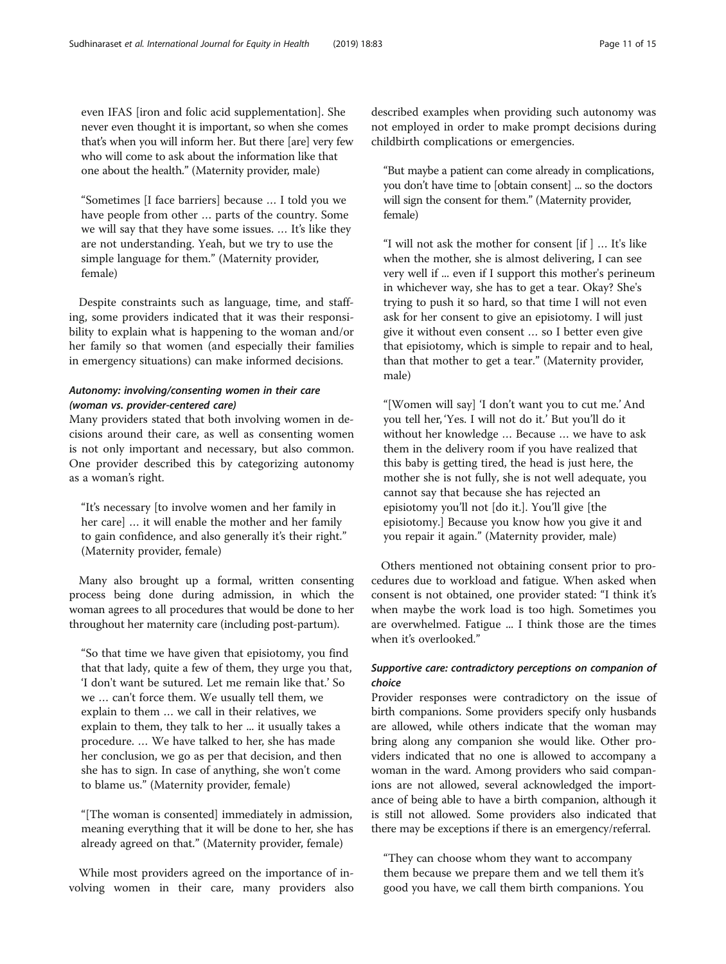even IFAS [iron and folic acid supplementation]. She never even thought it is important, so when she comes that's when you will inform her. But there [are] very few who will come to ask about the information like that one about the health." (Maternity provider, male)

"Sometimes [I face barriers] because … I told you we have people from other … parts of the country. Some we will say that they have some issues. … It's like they are not understanding. Yeah, but we try to use the simple language for them." (Maternity provider, female)

Despite constraints such as language, time, and staffing, some providers indicated that it was their responsibility to explain what is happening to the woman and/or her family so that women (and especially their families in emergency situations) can make informed decisions.

## Autonomy: involving/consenting women in their care (woman vs. provider-centered care)

Many providers stated that both involving women in decisions around their care, as well as consenting women is not only important and necessary, but also common. One provider described this by categorizing autonomy as a woman's right.

"It's necessary [to involve women and her family in her care] … it will enable the mother and her family to gain confidence, and also generally it's their right." (Maternity provider, female)

Many also brought up a formal, written consenting process being done during admission, in which the woman agrees to all procedures that would be done to her throughout her maternity care (including post-partum).

"So that time we have given that episiotomy, you find that that lady, quite a few of them, they urge you that, 'I don't want be sutured. Let me remain like that.' So we … can't force them. We usually tell them, we explain to them … we call in their relatives, we explain to them, they talk to her ... it usually takes a procedure. … We have talked to her, she has made her conclusion, we go as per that decision, and then she has to sign. In case of anything, she won't come to blame us." (Maternity provider, female)

"[The woman is consented] immediately in admission, meaning everything that it will be done to her, she has already agreed on that." (Maternity provider, female)

While most providers agreed on the importance of involving women in their care, many providers also described examples when providing such autonomy was not employed in order to make prompt decisions during childbirth complications or emergencies.

"But maybe a patient can come already in complications, you don't have time to [obtain consent] ... so the doctors will sign the consent for them." (Maternity provider, female)

"I will not ask the mother for consent [if ] … It's like when the mother, she is almost delivering, I can see very well if ... even if I support this mother's perineum in whichever way, she has to get a tear. Okay? She's trying to push it so hard, so that time I will not even ask for her consent to give an episiotomy. I will just give it without even consent … so I better even give that episiotomy, which is simple to repair and to heal, than that mother to get a tear." (Maternity provider, male)

"[Women will say] 'I don't want you to cut me.' And you tell her, 'Yes. I will not do it.' But you'll do it without her knowledge … Because … we have to ask them in the delivery room if you have realized that this baby is getting tired, the head is just here, the mother she is not fully, she is not well adequate, you cannot say that because she has rejected an episiotomy you'll not [do it.]. You'll give [the episiotomy.] Because you know how you give it and you repair it again." (Maternity provider, male)

Others mentioned not obtaining consent prior to procedures due to workload and fatigue. When asked when consent is not obtained, one provider stated: "I think it's when maybe the work load is too high. Sometimes you are overwhelmed. Fatigue ... I think those are the times when it's overlooked."

## Supportive care: contradictory perceptions on companion of choice

Provider responses were contradictory on the issue of birth companions. Some providers specify only husbands are allowed, while others indicate that the woman may bring along any companion she would like. Other providers indicated that no one is allowed to accompany a woman in the ward. Among providers who said companions are not allowed, several acknowledged the importance of being able to have a birth companion, although it is still not allowed. Some providers also indicated that there may be exceptions if there is an emergency/referral.

"They can choose whom they want to accompany them because we prepare them and we tell them it's good you have, we call them birth companions. You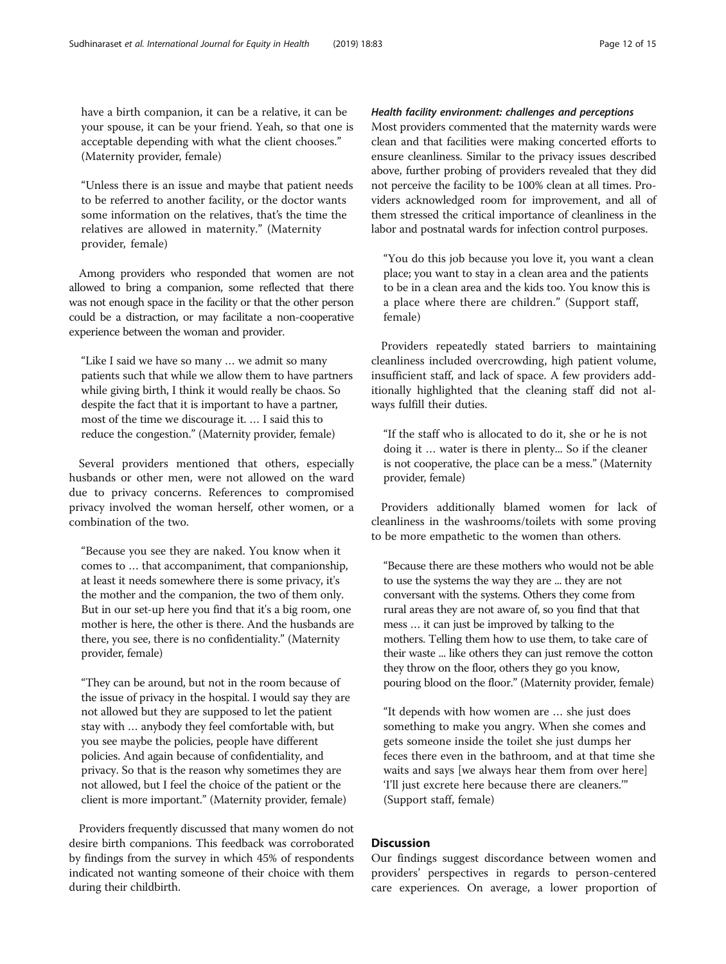have a birth companion, it can be a relative, it can be your spouse, it can be your friend. Yeah, so that one is acceptable depending with what the client chooses." (Maternity provider, female)

"Unless there is an issue and maybe that patient needs to be referred to another facility, or the doctor wants some information on the relatives, that's the time the relatives are allowed in maternity." (Maternity provider, female)

Among providers who responded that women are not allowed to bring a companion, some reflected that there was not enough space in the facility or that the other person could be a distraction, or may facilitate a non-cooperative experience between the woman and provider.

"Like I said we have so many … we admit so many patients such that while we allow them to have partners while giving birth, I think it would really be chaos. So despite the fact that it is important to have a partner, most of the time we discourage it. … I said this to reduce the congestion." (Maternity provider, female)

Several providers mentioned that others, especially husbands or other men, were not allowed on the ward due to privacy concerns. References to compromised privacy involved the woman herself, other women, or a combination of the two.

"Because you see they are naked. You know when it comes to … that accompaniment, that companionship, at least it needs somewhere there is some privacy, it's the mother and the companion, the two of them only. But in our set-up here you find that it's a big room, one mother is here, the other is there. And the husbands are there, you see, there is no confidentiality." (Maternity provider, female)

"They can be around, but not in the room because of the issue of privacy in the hospital. I would say they are not allowed but they are supposed to let the patient stay with … anybody they feel comfortable with, but you see maybe the policies, people have different policies. And again because of confidentiality, and privacy. So that is the reason why sometimes they are not allowed, but I feel the choice of the patient or the client is more important." (Maternity provider, female)

Providers frequently discussed that many women do not desire birth companions. This feedback was corroborated by findings from the survey in which 45% of respondents indicated not wanting someone of their choice with them during their childbirth.

## Health facility environment: challenges and perceptions

Most providers commented that the maternity wards were clean and that facilities were making concerted efforts to ensure cleanliness. Similar to the privacy issues described above, further probing of providers revealed that they did not perceive the facility to be 100% clean at all times. Providers acknowledged room for improvement, and all of them stressed the critical importance of cleanliness in the labor and postnatal wards for infection control purposes.

"You do this job because you love it, you want a clean place; you want to stay in a clean area and the patients to be in a clean area and the kids too. You know this is a place where there are children." (Support staff, female)

Providers repeatedly stated barriers to maintaining cleanliness included overcrowding, high patient volume, insufficient staff, and lack of space. A few providers additionally highlighted that the cleaning staff did not always fulfill their duties.

"If the staff who is allocated to do it, she or he is not doing it … water is there in plenty... So if the cleaner is not cooperative, the place can be a mess." (Maternity provider, female)

Providers additionally blamed women for lack of cleanliness in the washrooms/toilets with some proving to be more empathetic to the women than others.

"Because there are these mothers who would not be able to use the systems the way they are ... they are not conversant with the systems. Others they come from rural areas they are not aware of, so you find that that mess … it can just be improved by talking to the mothers. Telling them how to use them, to take care of their waste ... like others they can just remove the cotton they throw on the floor, others they go you know, pouring blood on the floor." (Maternity provider, female)

"It depends with how women are … she just does something to make you angry. When she comes and gets someone inside the toilet she just dumps her feces there even in the bathroom, and at that time she waits and says [we always hear them from over here] 'I'll just excrete here because there are cleaners.'" (Support staff, female)

## **Discussion**

Our findings suggest discordance between women and providers' perspectives in regards to person-centered care experiences. On average, a lower proportion of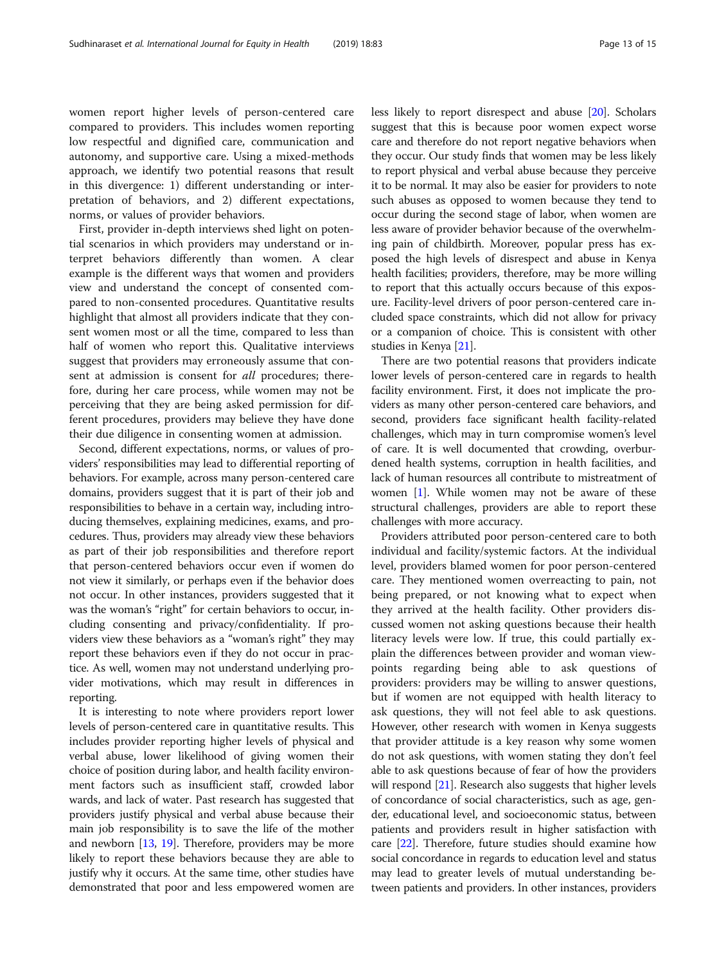women report higher levels of person-centered care compared to providers. This includes women reporting low respectful and dignified care, communication and autonomy, and supportive care. Using a mixed-methods approach, we identify two potential reasons that result in this divergence: 1) different understanding or interpretation of behaviors, and 2) different expectations, norms, or values of provider behaviors.

First, provider in-depth interviews shed light on potential scenarios in which providers may understand or interpret behaviors differently than women. A clear example is the different ways that women and providers view and understand the concept of consented compared to non-consented procedures. Quantitative results highlight that almost all providers indicate that they consent women most or all the time, compared to less than half of women who report this. Qualitative interviews suggest that providers may erroneously assume that consent at admission is consent for *all* procedures; therefore, during her care process, while women may not be perceiving that they are being asked permission for different procedures, providers may believe they have done their due diligence in consenting women at admission.

Second, different expectations, norms, or values of providers' responsibilities may lead to differential reporting of behaviors. For example, across many person-centered care domains, providers suggest that it is part of their job and responsibilities to behave in a certain way, including introducing themselves, explaining medicines, exams, and procedures. Thus, providers may already view these behaviors as part of their job responsibilities and therefore report that person-centered behaviors occur even if women do not view it similarly, or perhaps even if the behavior does not occur. In other instances, providers suggested that it was the woman's "right" for certain behaviors to occur, including consenting and privacy/confidentiality. If providers view these behaviors as a "woman's right" they may report these behaviors even if they do not occur in practice. As well, women may not understand underlying provider motivations, which may result in differences in reporting.

It is interesting to note where providers report lower levels of person-centered care in quantitative results. This includes provider reporting higher levels of physical and verbal abuse, lower likelihood of giving women their choice of position during labor, and health facility environment factors such as insufficient staff, crowded labor wards, and lack of water. Past research has suggested that providers justify physical and verbal abuse because their main job responsibility is to save the life of the mother and newborn [[13,](#page-14-0) [19\]](#page-14-0). Therefore, providers may be more likely to report these behaviors because they are able to justify why it occurs. At the same time, other studies have demonstrated that poor and less empowered women are less likely to report disrespect and abuse [\[20](#page-14-0)]. Scholars suggest that this is because poor women expect worse care and therefore do not report negative behaviors when they occur. Our study finds that women may be less likely to report physical and verbal abuse because they perceive it to be normal. It may also be easier for providers to note such abuses as opposed to women because they tend to occur during the second stage of labor, when women are less aware of provider behavior because of the overwhelming pain of childbirth. Moreover, popular press has exposed the high levels of disrespect and abuse in Kenya health facilities; providers, therefore, may be more willing to report that this actually occurs because of this exposure. Facility-level drivers of poor person-centered care included space constraints, which did not allow for privacy or a companion of choice. This is consistent with other studies in Kenya [[21](#page-14-0)].

There are two potential reasons that providers indicate lower levels of person-centered care in regards to health facility environment. First, it does not implicate the providers as many other person-centered care behaviors, and second, providers face significant health facility-related challenges, which may in turn compromise women's level of care. It is well documented that crowding, overburdened health systems, corruption in health facilities, and lack of human resources all contribute to mistreatment of women [\[1](#page-14-0)]. While women may not be aware of these structural challenges, providers are able to report these challenges with more accuracy.

Providers attributed poor person-centered care to both individual and facility/systemic factors. At the individual level, providers blamed women for poor person-centered care. They mentioned women overreacting to pain, not being prepared, or not knowing what to expect when they arrived at the health facility. Other providers discussed women not asking questions because their health literacy levels were low. If true, this could partially explain the differences between provider and woman viewpoints regarding being able to ask questions of providers: providers may be willing to answer questions, but if women are not equipped with health literacy to ask questions, they will not feel able to ask questions. However, other research with women in Kenya suggests that provider attitude is a key reason why some women do not ask questions, with women stating they don't feel able to ask questions because of fear of how the providers will respond [[21](#page-14-0)]. Research also suggests that higher levels of concordance of social characteristics, such as age, gender, educational level, and socioeconomic status, between patients and providers result in higher satisfaction with care [\[22](#page-14-0)]. Therefore, future studies should examine how social concordance in regards to education level and status may lead to greater levels of mutual understanding between patients and providers. In other instances, providers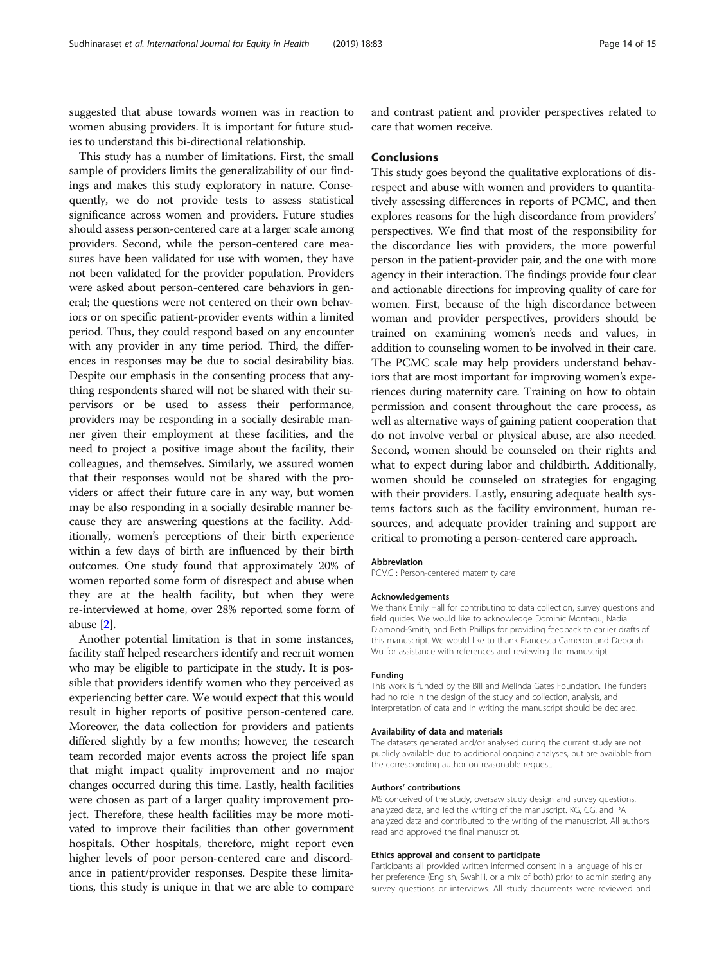suggested that abuse towards women was in reaction to women abusing providers. It is important for future studies to understand this bi-directional relationship.

This study has a number of limitations. First, the small sample of providers limits the generalizability of our findings and makes this study exploratory in nature. Consequently, we do not provide tests to assess statistical significance across women and providers. Future studies should assess person-centered care at a larger scale among providers. Second, while the person-centered care measures have been validated for use with women, they have not been validated for the provider population. Providers were asked about person-centered care behaviors in general; the questions were not centered on their own behaviors or on specific patient-provider events within a limited period. Thus, they could respond based on any encounter with any provider in any time period. Third, the differences in responses may be due to social desirability bias. Despite our emphasis in the consenting process that anything respondents shared will not be shared with their supervisors or be used to assess their performance, providers may be responding in a socially desirable manner given their employment at these facilities, and the need to project a positive image about the facility, their colleagues, and themselves. Similarly, we assured women that their responses would not be shared with the providers or affect their future care in any way, but women may be also responding in a socially desirable manner because they are answering questions at the facility. Additionally, women's perceptions of their birth experience within a few days of birth are influenced by their birth outcomes. One study found that approximately 20% of women reported some form of disrespect and abuse when they are at the health facility, but when they were re-interviewed at home, over 28% reported some form of abuse [\[2\]](#page-14-0).

Another potential limitation is that in some instances, facility staff helped researchers identify and recruit women who may be eligible to participate in the study. It is possible that providers identify women who they perceived as experiencing better care. We would expect that this would result in higher reports of positive person-centered care. Moreover, the data collection for providers and patients differed slightly by a few months; however, the research team recorded major events across the project life span that might impact quality improvement and no major changes occurred during this time. Lastly, health facilities were chosen as part of a larger quality improvement project. Therefore, these health facilities may be more motivated to improve their facilities than other government hospitals. Other hospitals, therefore, might report even higher levels of poor person-centered care and discordance in patient/provider responses. Despite these limitations, this study is unique in that we are able to compare

and contrast patient and provider perspectives related to care that women receive.

## Conclusions

This study goes beyond the qualitative explorations of disrespect and abuse with women and providers to quantitatively assessing differences in reports of PCMC, and then explores reasons for the high discordance from providers' perspectives. We find that most of the responsibility for the discordance lies with providers, the more powerful person in the patient-provider pair, and the one with more agency in their interaction. The findings provide four clear and actionable directions for improving quality of care for women. First, because of the high discordance between woman and provider perspectives, providers should be trained on examining women's needs and values, in addition to counseling women to be involved in their care. The PCMC scale may help providers understand behaviors that are most important for improving women's experiences during maternity care. Training on how to obtain permission and consent throughout the care process, as well as alternative ways of gaining patient cooperation that do not involve verbal or physical abuse, are also needed. Second, women should be counseled on their rights and what to expect during labor and childbirth. Additionally, women should be counseled on strategies for engaging with their providers. Lastly, ensuring adequate health systems factors such as the facility environment, human resources, and adequate provider training and support are critical to promoting a person-centered care approach.

#### Abbreviation

PCMC : Person-centered maternity care

#### Acknowledgements

We thank Emily Hall for contributing to data collection, survey questions and field guides. We would like to acknowledge Dominic Montagu, Nadia Diamond-Smith, and Beth Phillips for providing feedback to earlier drafts of this manuscript. We would like to thank Francesca Cameron and Deborah Wu for assistance with references and reviewing the manuscript.

#### Funding

This work is funded by the Bill and Melinda Gates Foundation. The funders had no role in the design of the study and collection, analysis, and interpretation of data and in writing the manuscript should be declared.

#### Availability of data and materials

The datasets generated and/or analysed during the current study are not publicly available due to additional ongoing analyses, but are available from the corresponding author on reasonable request.

#### Authors' contributions

MS conceived of the study, oversaw study design and survey questions, analyzed data, and led the writing of the manuscript. KG, GG, and PA analyzed data and contributed to the writing of the manuscript. All authors read and approved the final manuscript.

#### Ethics approval and consent to participate

Participants all provided written informed consent in a language of his or her preference (English, Swahili, or a mix of both) prior to administering any survey questions or interviews. All study documents were reviewed and